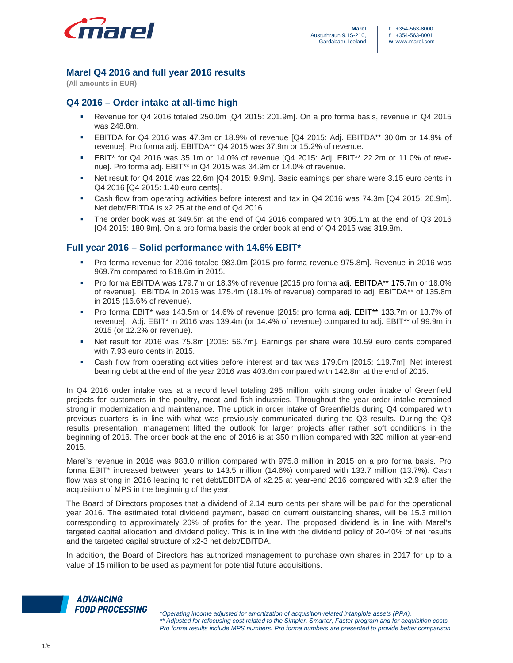

# **Marel Q4 2016 and full year 2016 results**

**(All amounts in EUR)** 

# **Q4 2016 – Order intake at all-time high**

- Revenue for Q4 2016 totaled 250.0m [Q4 2015: 201.9m]. On a pro forma basis, revenue in Q4 2015 was 248.8m.
- EBITDA for Q4 2016 was 47.3m or 18.9% of revenue [Q4 2015: Adj. EBITDA\*\* 30.0m or 14.9% of revenue]. Pro forma adj. EBITDA\*\* Q4 2015 was 37.9m or 15.2% of revenue.
- **EBIT**\* for Q4 2016 was 35.1m or 14.0% of revenue  $[QA 2015: Ad]$ . EBIT<sup>\*\*</sup> 22.2m or 11.0% of revenue]. Pro forma adj. EBIT\*\* in Q4 2015 was 34.9m or 14.0% of revenue.
- Net result for Q4 2016 was 22.6m [Q4 2015: 9.9m]. Basic earnings per share were 3.15 euro cents in Q4 2016 [Q4 2015: 1.40 euro cents].
- Cash flow from operating activities before interest and tax in Q4 2016 was 74.3m [Q4 2015: 26.9m]. Net debt/EBITDA is x2.25 at the end of Q4 2016.
- The order book was at 349.5m at the end of Q4 2016 compared with 305.1m at the end of Q3 2016 [Q4 2015: 180.9m]. On a pro forma basis the order book at end of Q4 2015 was 319.8m.

# **Full year 2016 – Solid performance with 14.6% EBIT\***

- Pro forma revenue for 2016 totaled 983.0m [2015 pro forma revenue 975.8m]. Revenue in 2016 was 969.7m compared to 818.6m in 2015.
- Pro forma EBITDA was 179.7m or 18.3% of revenue [2015 pro forma adj. EBITDA\*\* 175.7m or 18.0% of revenue]. EBITDA in 2016 was 175.4m (18.1% of revenue) compared to adj. EBITDA\*\* of 135.8m in 2015 (16.6% of revenue).
- Pro forma EBIT\* was 143.5m or 14.6% of revenue [2015: pro forma adj. EBIT\*\* 133.7m or 13.7% of revenue]. Adj. EBIT\* in 2016 was 139.4m (or 14.4% of revenue) compared to adj. EBIT\*\* of 99.9m in 2015 (or 12.2% or revenue).
- Net result for 2016 was 75.8m [2015: 56.7m]. Earnings per share were 10.59 euro cents compared with 7.93 euro cents in 2015.
- Cash flow from operating activities before interest and tax was 179.0m [2015: 119.7m]. Net interest bearing debt at the end of the year 2016 was 403.6m compared with 142.8m at the end of 2015.

In Q4 2016 order intake was at a record level totaling 295 million, with strong order intake of Greenfield projects for customers in the poultry, meat and fish industries. Throughout the year order intake remained strong in modernization and maintenance. The uptick in order intake of Greenfields during Q4 compared with previous quarters is in line with what was previously communicated during the Q3 results. During the Q3 results presentation, management lifted the outlook for larger projects after rather soft conditions in the beginning of 2016. The order book at the end of 2016 is at 350 million compared with 320 million at year-end 2015.

Marel's revenue in 2016 was 983.0 million compared with 975.8 million in 2015 on a pro forma basis. Pro forma EBIT\* increased between years to 143.5 million (14.6%) compared with 133.7 million (13.7%). Cash flow was strong in 2016 leading to net debt/EBITDA of x2.25 at year-end 2016 compared with x2.9 after the acquisition of MPS in the beginning of the year.

The Board of Directors proposes that a dividend of 2.14 euro cents per share will be paid for the operational year 2016. The estimated total dividend payment, based on current outstanding shares, will be 15.3 million corresponding to approximately 20% of profits for the year. The proposed dividend is in line with Marel's targeted capital allocation and dividend policy. This is in line with the dividend policy of 20-40% of net results and the targeted capital structure of x2-3 net debt/EBITDA.

In addition, the Board of Directors has authorized management to purchase own shares in 2017 for up to a value of 15 million to be used as payment for potential future acquisitions.

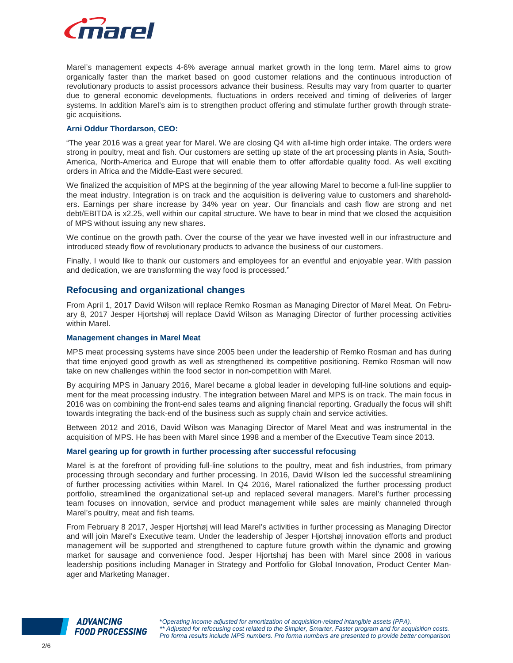

Marel's management expects 4-6% average annual market growth in the long term. Marel aims to grow organically faster than the market based on good customer relations and the continuous introduction of revolutionary products to assist processors advance their business. Results may vary from quarter to quarter due to general economic developments, fluctuations in orders received and timing of deliveries of larger systems. In addition Marel's aim is to strengthen product offering and stimulate further growth through strategic acquisitions.

## **Arni Oddur Thordarson, CEO:**

"The year 2016 was a great year for Marel. We are closing Q4 with all-time high order intake. The orders were strong in poultry, meat and fish. Our customers are setting up state of the art processing plants in Asia, South-America, North-America and Europe that will enable them to offer affordable quality food. As well exciting orders in Africa and the Middle-East were secured.

We finalized the acquisition of MPS at the beginning of the year allowing Marel to become a full-line supplier to the meat industry. Integration is on track and the acquisition is delivering value to customers and shareholders. Earnings per share increase by 34% year on year. Our financials and cash flow are strong and net debt/EBITDA is x2.25, well within our capital structure. We have to bear in mind that we closed the acquisition of MPS without issuing any new shares.

We continue on the growth path. Over the course of the year we have invested well in our infrastructure and introduced steady flow of revolutionary products to advance the business of our customers.

Finally, I would like to thank our customers and employees for an eventful and enjoyable year. With passion and dedication, we are transforming the way food is processed."

# **Refocusing and organizational changes**

From April 1, 2017 David Wilson will replace Remko Rosman as Managing Director of Marel Meat. On February 8, 2017 Jesper Hjortshøj will replace David Wilson as Managing Director of further processing activities within Marel.

#### **Management changes in Marel Meat**

MPS meat processing systems have since 2005 been under the leadership of Remko Rosman and has during that time enjoyed good growth as well as strengthened its competitive positioning. Remko Rosman will now take on new challenges within the food sector in non-competition with Marel.

By acquiring MPS in January 2016, Marel became a global leader in developing full-line solutions and equipment for the meat processing industry. The integration between Marel and MPS is on track. The main focus in 2016 was on combining the front-end sales teams and aligning financial reporting. Gradually the focus will shift towards integrating the back-end of the business such as supply chain and service activities.

Between 2012 and 2016, David Wilson was Managing Director of Marel Meat and was instrumental in the acquisition of MPS. He has been with Marel since 1998 and a member of the Executive Team since 2013.

## **Marel gearing up for growth in further processing after successful refocusing**

Marel is at the forefront of providing full-line solutions to the poultry, meat and fish industries, from primary processing through secondary and further processing. In 2016, David Wilson led the successful streamlining of further processing activities within Marel. In Q4 2016, Marel rationalized the further processing product portfolio, streamlined the organizational set-up and replaced several managers. Marel's further processing team focuses on innovation, service and product management while sales are mainly channeled through Marel's poultry, meat and fish teams.

From February 8 2017, Jesper Hjortshøj will lead Marel's activities in further processing as Managing Director and will join Marel's Executive team. Under the leadership of Jesper Hjortshøj innovation efforts and product management will be supported and strengthened to capture future growth within the dynamic and growing market for sausage and convenience food. Jesper Hjortshøj has been with Marel since 2006 in various leadership positions including Manager in Strategy and Portfolio for Global Innovation, Product Center Manager and Marketing Manager.

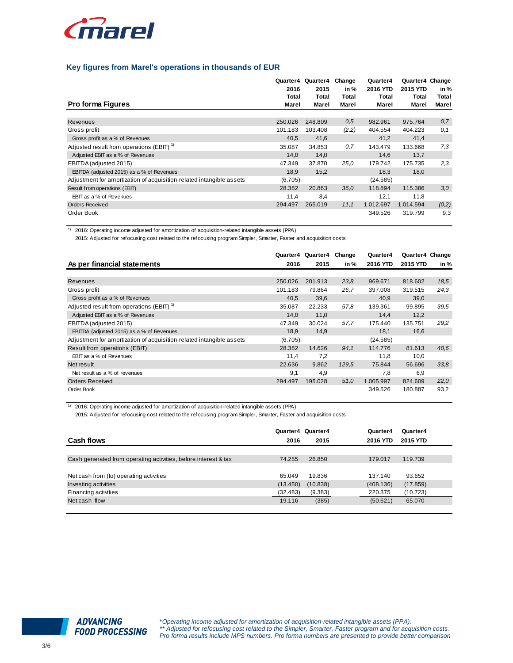

## **Key figures from Marel's operations in thousands of EUR**

|                                                                      | Quarter4<br>2016 | Quarter4<br>2015 | Change<br>in % | Quarter4<br>2016 YTD | Quarter4 Change<br>2015 YTD | in %           |
|----------------------------------------------------------------------|------------------|------------------|----------------|----------------------|-----------------------------|----------------|
| <b>Pro forma Figures</b>                                             | Total<br>Marel   | Total<br>Marel   | Total<br>Marel | Total<br>Marel       | Total<br>Marel              | Total<br>Marel |
|                                                                      |                  |                  |                |                      |                             |                |
| Revenues                                                             | 250.026          | 248.809          | 0.5            | 982.961              | 975.764                     | 0,7            |
| Gross profit                                                         | 101.183          | 103.408          | (2,2)          | 404.554              | 404.223                     | 0.1            |
| Gross profit as a % of Revenues                                      | 40,5             | 41,6             |                | 41,2                 | 41,4                        |                |
| Adjusted result from operations (EBIT) <sup>1)</sup>                 | 35.087           | 34.853           | 0,7            | 143.479              | 133.668                     | 7,3            |
| Adjusted EBIT as a % of Revenues                                     | 14,0             | 14,0             |                | 14,6                 | 13,7                        |                |
| EBITDA (adjusted 2015)                                               | 47.349           | 37.870           | 25,0           | 179.742              | 175.735                     | 2,3            |
| EBITDA (adjusted 2015) as a % of Revenues                            | 18,9             | 15,2             |                | 18,3                 | 18,0                        |                |
| Adjustment for amortization of acquisition-related intangible assets | (6.705)          | ٠                |                | (24.585)             | $\overline{a}$              |                |
| Result from operations (EBIT)                                        | 28.382           | 20.863           | 36,0           | 118.894              | 115.386                     | 3.0            |
| EBIT as a % of Revenues                                              | 11,4             | 8,4              |                | 12,1                 | 11,8                        |                |
| <b>Orders Received</b>                                               | 294.497          | 265.019          | 11,1           | 1.012.697            | 1.014.594                   | (0,2)          |
| Order Book                                                           |                  |                  |                | 349.526              | 319.799                     | 9,3            |

1) 2016: Operating income adjusted for amortization of acquisition-related intangible assets (PPA)

2015: Adjusted for refocusing cost related to the refocusing program Simpler, Smarter, Faster and acquisition costs

|                                                                      |         | Quarter4 Quarter4 | Change | Quarter4  | Quarter4 Change |      |
|----------------------------------------------------------------------|---------|-------------------|--------|-----------|-----------------|------|
| As per financial statements                                          | 2016    | 2015              | in %   | 2016 YTD  | 2015 YTD        | in % |
|                                                                      |         |                   |        |           |                 |      |
| Revenues                                                             | 250.026 | 201.913           | 23.8   | 969.671   | 818.602         | 18,5 |
| Gross profit                                                         | 101.183 | 79.864            | 26,7   | 397.008   | 319.515         | 24,3 |
| Gross profit as a % of Revenues                                      | 40,5    | 39,6              |        | 40,9      | 39,0            |      |
| Adjusted result from operations (EBIT) <sup>1)</sup>                 | 35.087  | 22.233            | 57,8   | 139.361   | 99.895          | 39.5 |
| Adjusted EBIT as a % of Revenues                                     | 14.0    | 11,0              |        | 14.4      | 12,2            |      |
| EBITDA (adjusted 2015)                                               | 47.349  | 30.024            | 57,7   | 175.440   | 135.751         | 29,2 |
| EBITDA (adjusted 2015) as a % of Revenues                            | 18.9    | 14,9              |        | 18,1      | 16,6            |      |
| Adjustment for amortization of acquisition-related intangible assets | (6.705) | $\sim$            |        | (24.585)  | $\blacksquare$  |      |
| Result from operations (EBIT)                                        | 28.382  | 14.626            | 94.1   | 114,776   | 81.613          | 40.6 |
| EBIT as a % of Revenues                                              | 11,4    | 7,2               |        | 11,8      | 10,0            |      |
| Net result                                                           | 22.636  | 9.862             | 129,5  | 75.844    | 56.696          | 33.8 |
| Net result as a % of revenues                                        | 9,1     | 4,9               |        | 7,8       | 6,9             |      |
| <b>Orders Received</b>                                               | 294.497 | 195.028           | 51,0   | 1.005.997 | 824.609         | 22,0 |
| Order Book                                                           |         |                   |        | 349.526   | 180.887         | 93,2 |

<sup>1)</sup> 2016: Operating income adjusted for amortization of acquisition-related intangible assets (PPA)

2015: Adjusted for refocusing cost related to the refocusing program Simpler, Smarter, Faster and acquisition costs

| Cash flows                                                      | 2016     | Quarter4 Quarter4<br>2015 | Quarter4<br>2016 YTD | Quarter4<br>2015 YTD |  |
|-----------------------------------------------------------------|----------|---------------------------|----------------------|----------------------|--|
|                                                                 |          |                           |                      |                      |  |
| Cash generated from operating activities, before interest & tax | 74.255   | 26.850                    | 179.017              | 119.739              |  |
|                                                                 |          |                           |                      |                      |  |
| Net cash from (to) operating activities                         | 65.049   | 19.836                    | 137.140              | 93.652               |  |
| Investing activities                                            | (13.450) | (10.838)                  | (408.136)            | (17.859)             |  |
| Financing activities                                            | (32.483) | (9.383)                   | 220.375              | (10.723)             |  |
| Net cash flow                                                   | 19.116   | (385)                     | (50.621)             | 65.070               |  |
|                                                                 |          |                           |                      |                      |  |



\*Operating income adjusted for amortization of acquisition-related intangible assets (PPA). \*\* Adjusted for refocusing cost related to the Simpler, Smarter, Faster program and for acquisition costs. Pro forma results include MPS numbers. Pro forma numbers are presented to provide better comparison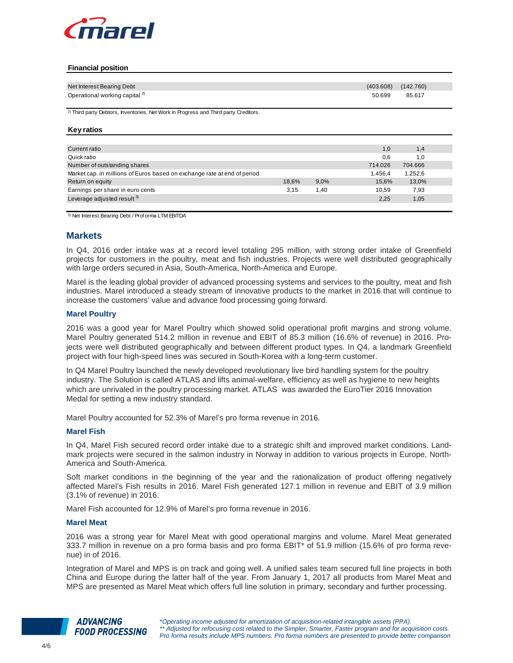

#### **Financial position**

| Net Interest Bearing Debt                                                                       |       |      | (403.608) | (142.760) |  |
|-------------------------------------------------------------------------------------------------|-------|------|-----------|-----------|--|
| Operational working capital <sup>2)</sup>                                                       |       |      | 50.699    | 85.617    |  |
|                                                                                                 |       |      |           |           |  |
| <sup>2)</sup> Third party Debtors, Inventories, Net Work in Progress and Third party Creditors. |       |      |           |           |  |
|                                                                                                 |       |      |           |           |  |
| <b>Key ratios</b>                                                                               |       |      |           |           |  |
|                                                                                                 |       |      |           |           |  |
| Current ratio                                                                                   |       |      | 1,0       | 1,4       |  |
| Quick ratio                                                                                     |       |      | 0,6       | 1,0       |  |
| Number of outstanding shares                                                                    |       |      | 714.026   | 704.666   |  |
| Market cap. in millions of Euros based on exchange rate at end of period                        |       |      | 1.456,4   | 1.252,6   |  |
| Return on equity                                                                                | 18,6% | 9,0% | 15,6%     | 13,0%     |  |
| Earnings per share in euro cents                                                                | 3,15  | 1,40 | 10,59     | 7,93      |  |
| Leverage adjusted result <sup>3)</sup>                                                          |       |      | 2,25      | 1,05      |  |
|                                                                                                 |       |      |           |           |  |

3) Net Interest Bearing Debt / Proforma LTM EBITDA

# **Markets**

In Q4, 2016 order intake was at a record level totaling 295 million, with strong order intake of Greenfield projects for customers in the poultry, meat and fish industries. Projects were well distributed geographically with large orders secured in Asia, South-America, North-America and Europe.

Marel is the leading global provider of advanced processing systems and services to the poultry, meat and fish industries. Marel introduced a steady stream of innovative products to the market in 2016 that will continue to increase the customers' value and advance food processing going forward.

## **Marel Poultry**

2016 was a good year for Marel Poultry which showed solid operational profit margins and strong volume. Marel Poultry generated 514.2 million in revenue and EBIT of 85.3 million (16.6% of revenue) in 2016. Projects were well distributed geographically and between different product types. In Q4, a landmark Greenfield project with four high-speed lines was secured in South-Korea with a long-term customer.

In Q4 Marel Poultry launched the newly developed revolutionary live bird handling system for the poultry industry. The Solution is called ATLAS and lifts animal-welfare, efficiency as well as hygiene to new heights which are unrivaled in the poultry processing market. ATLAS was awarded the EuroTier 2016 Innovation Medal for setting a new industry standard.

Marel Poultry accounted for 52.3% of Marel's pro forma revenue in 2016.

## **Marel Fish**

In Q4, Marel Fish secured record order intake due to a strategic shift and improved market conditions. Landmark projects were secured in the salmon industry in Norway in addition to various projects in Europe, North-America and South-America.

Soft market conditions in the beginning of the year and the rationalization of product offering negatively affected Marel's Fish results in 2016. Marel Fish generated 127.1 million in revenue and EBIT of 3.9 million (3.1% of revenue) in 2016.

Marel Fish accounted for 12.9% of Marel's pro forma revenue in 2016.

#### **Marel Meat**

2016 was a strong year for Marel Meat with good operational margins and volume. Marel Meat generated 333.7 million in revenue on a pro forma basis and pro forma EBIT\* of 51.9 million (15.6% of pro forma revenue) in of 2016.

Integration of Marel and MPS is on track and going well. A unified sales team secured full line projects in both China and Europe during the latter half of the year. From January 1, 2017 all products from Marel Meat and MPS are presented as Marel Meat which offers full line solution in primary, secondary and further processing.

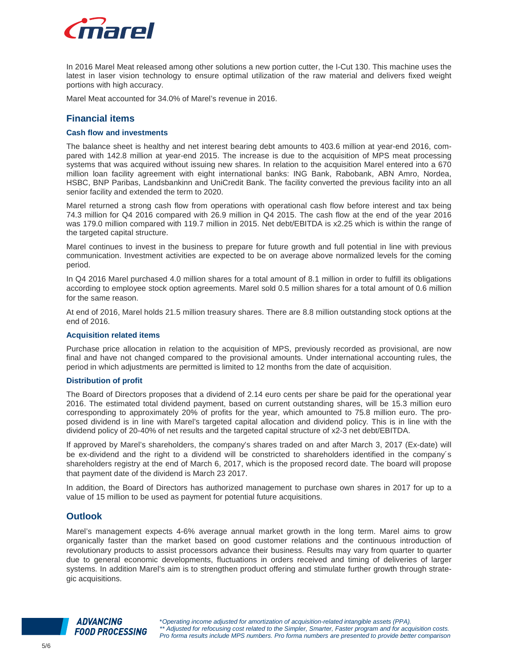

In 2016 Marel Meat released among other solutions a new portion cutter, the I-Cut 130. This machine uses the latest in laser vision technology to ensure optimal utilization of the raw material and delivers fixed weight portions with high accuracy.

Marel Meat accounted for 34.0% of Marel's revenue in 2016.

# **Financial items**

## **Cash flow and investments**

The balance sheet is healthy and net interest bearing debt amounts to 403.6 million at year-end 2016, compared with 142.8 million at year-end 2015. The increase is due to the acquisition of MPS meat processing systems that was acquired without issuing new shares. In relation to the acquisition Marel entered into a 670 million loan facility agreement with eight international banks: ING Bank, Rabobank, ABN Amro, Nordea, HSBC, BNP Paribas, Landsbankinn and UniCredit Bank. The facility converted the previous facility into an all senior facility and extended the term to 2020.

Marel returned a strong cash flow from operations with operational cash flow before interest and tax being 74.3 million for Q4 2016 compared with 26.9 million in Q4 2015. The cash flow at the end of the year 2016 was 179.0 million compared with 119.7 million in 2015. Net debt/EBITDA is x2.25 which is within the range of the targeted capital structure.

Marel continues to invest in the business to prepare for future growth and full potential in line with previous communication. Investment activities are expected to be on average above normalized levels for the coming period.

In Q4 2016 Marel purchased 4.0 million shares for a total amount of 8.1 million in order to fulfill its obligations according to employee stock option agreements. Marel sold 0.5 million shares for a total amount of 0.6 million for the same reason.

At end of 2016, Marel holds 21.5 million treasury shares. There are 8.8 million outstanding stock options at the end of 2016.

#### **Acquisition related items**

Purchase price allocation in relation to the acquisition of MPS, previously recorded as provisional, are now final and have not changed compared to the provisional amounts. Under international accounting rules, the period in which adjustments are permitted is limited to 12 months from the date of acquisition.

#### **Distribution of profit**

The Board of Directors proposes that a dividend of 2.14 euro cents per share be paid for the operational year 2016. The estimated total dividend payment, based on current outstanding shares, will be 15.3 million euro corresponding to approximately 20% of profits for the year, which amounted to 75.8 million euro. The proposed dividend is in line with Marel's targeted capital allocation and dividend policy. This is in line with the dividend policy of 20-40% of net results and the targeted capital structure of x2-3 net debt/EBITDA.

If approved by Marel's shareholders, the company's shares traded on and after March 3, 2017 (Ex-date) will be ex-dividend and the right to a dividend will be constricted to shareholders identified in the company´s shareholders registry at the end of March 6, 2017, which is the proposed record date. The board will propose that payment date of the dividend is March 23 2017.

In addition, the Board of Directors has authorized management to purchase own shares in 2017 for up to a value of 15 million to be used as payment for potential future acquisitions.

## **Outlook**

Marel's management expects 4-6% average annual market growth in the long term. Marel aims to grow organically faster than the market based on good customer relations and the continuous introduction of revolutionary products to assist processors advance their business. Results may vary from quarter to quarter due to general economic developments, fluctuations in orders received and timing of deliveries of larger systems. In addition Marel's aim is to strengthen product offering and stimulate further growth through strategic acquisitions.